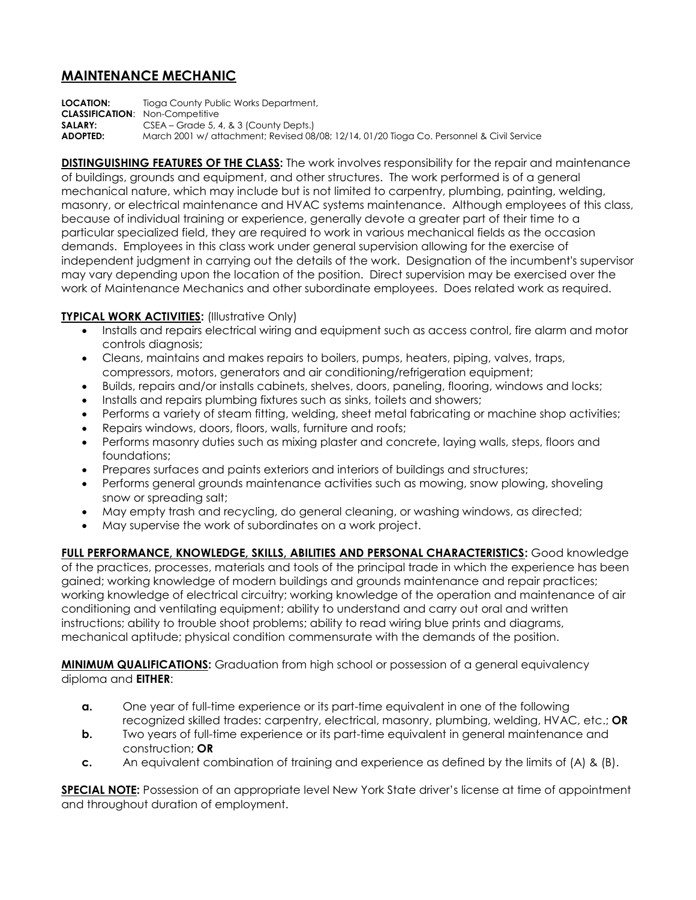## **MAINTENANCE MECHANIC**

**LOCATION:** Tioga County Public Works Department, **CLASSIFICATION**: Non-Competitive **SALARY:** CSEA – Grade 5, 4, & 3 (County Depts.) **ADOPTED:** March 2001 w/ attachment; Revised 08/08; 12/14, 01/20 Tioga Co. Personnel & Civil Service

**DISTINGUISHING FEATURES OF THE CLASS:** The work involves responsibility for the repair and maintenance of buildings, grounds and equipment, and other structures. The work performed is of a general mechanical nature, which may include but is not limited to carpentry, plumbing, painting, welding, masonry, or electrical maintenance and HVAC systems maintenance. Although employees of this class, because of individual training or experience, generally devote a greater part of their time to a particular specialized field, they are required to work in various mechanical fields as the occasion demands. Employees in this class work under general supervision allowing for the exercise of independent judgment in carrying out the details of the work. Designation of the incumbent's supervisor may vary depending upon the location of the position. Direct supervision may be exercised over the work of Maintenance Mechanics and other subordinate employees. Does related work as required.

## **TYPICAL WORK ACTIVITIES:** (Illustrative Only)

- Installs and repairs electrical wiring and equipment such as access control, fire alarm and motor controls diagnosis;
- Cleans, maintains and makes repairs to boilers, pumps, heaters, piping, valves, traps, compressors, motors, generators and air conditioning/refrigeration equipment;
- Builds, repairs and/or installs cabinets, shelves, doors, paneling, flooring, windows and locks;
- Installs and repairs plumbing fixtures such as sinks, toilets and showers;
- Performs a variety of steam fitting, welding, sheet metal fabricating or machine shop activities;
- Repairs windows, doors, floors, walls, furniture and roofs;
- Performs masonry duties such as mixing plaster and concrete, laying walls, steps, floors and foundations;
- Prepares surfaces and paints exteriors and interiors of buildings and structures;
- Performs general grounds maintenance activities such as mowing, snow plowing, shoveling snow or spreading salt;
- May empty trash and recycling, do general cleaning, or washing windows, as directed;
- May supervise the work of subordinates on a work project.

**FULL PERFORMANCE, KNOWLEDGE, SKILLS, ABILITIES AND PERSONAL CHARACTERISTICS:** Good knowledge of the practices, processes, materials and tools of the principal trade in which the experience has been gained; working knowledge of modern buildings and grounds maintenance and repair practices; working knowledge of electrical circuitry; working knowledge of the operation and maintenance of air conditioning and ventilating equipment; ability to understand and carry out oral and written instructions; ability to trouble shoot problems; ability to read wiring blue prints and diagrams, mechanical aptitude; physical condition commensurate with the demands of the position.

**MINIMUM QUALIFICATIONS:** Graduation from high school or possession of a general equivalency diploma and **EITHER**:

- **a.** One year of full-time experience or its part-time equivalent in one of the following recognized skilled trades: carpentry, electrical, masonry, plumbing, welding, HVAC, etc.; **OR**
- **b.** Two years of full-time experience or its part-time equivalent in general maintenance and construction; **OR**
- **c.** An equivalent combination of training and experience as defined by the limits of (A) & (B).

**SPECIAL NOTE:** Possession of an appropriate level New York State driver's license at time of appointment and throughout duration of employment.